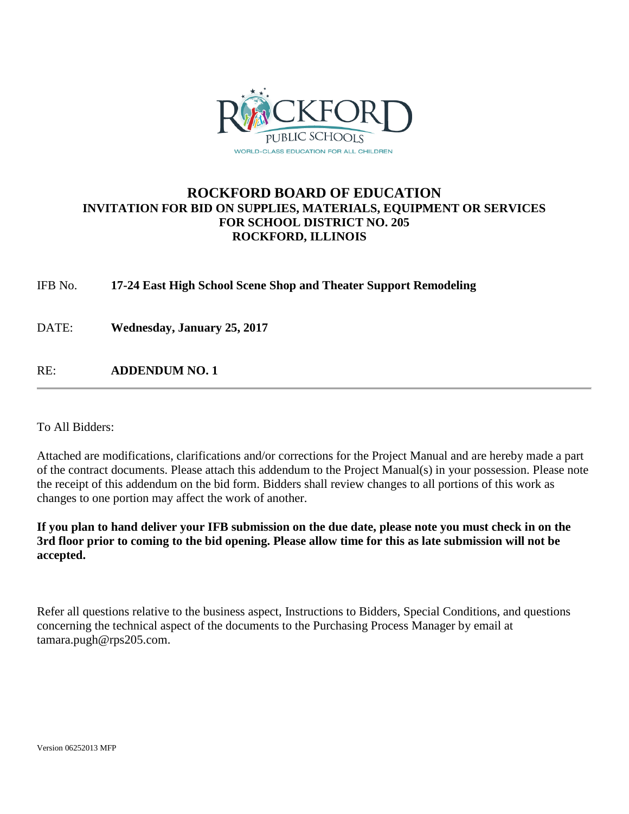

### **ROCKFORD BOARD OF EDUCATION INVITATION FOR BID ON SUPPLIES, MATERIALS, EQUIPMENT OR SERVICES FOR SCHOOL DISTRICT NO. 205 ROCKFORD, ILLINOIS**

IFB No. **17-24 East High School Scene Shop and Theater Support Remodeling**

DATE: **Wednesday, January 25, 2017**

RE: **ADDENDUM NO. 1**

To All Bidders:

Attached are modifications, clarifications and/or corrections for the Project Manual and are hereby made a part of the contract documents. Please attach this addendum to the Project Manual(s) in your possession. Please note the receipt of this addendum on the bid form. Bidders shall review changes to all portions of this work as changes to one portion may affect the work of another.

**If you plan to hand deliver your IFB submission on the due date, please note you must check in on the 3rd floor prior to coming to the bid opening. Please allow time for this as late submission will not be accepted.**

Refer all questions relative to the business aspect, Instructions to Bidders, Special Conditions, and questions concerning the technical aspect of the documents to the Purchasing Process Manager by email at tamara.pugh@rps205.com.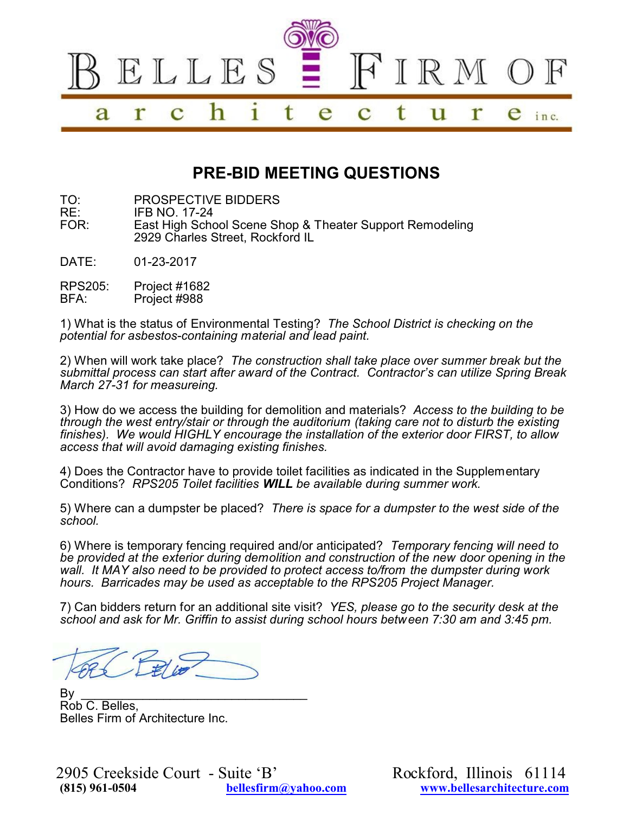

# **PRE-BID MEETING QUESTIONS**

TO: PROSPECTIVE BIDDERS<br>RE: IFB NO. 17-24

RE: IFB NO. 17-24<br>FOR: Fast High Scho East High School Scene Shop & Theater Support Remodeling 2929 Charles Street, Rockford IL

DATE: 01-23-2017

RPS205: Project #1682<br>RFA: Project #988 Project #988

1) What is the status of Environmental Testing? *The School District is checking on the potential for asbestos-containing material and lead paint.*

2) When will work take place? *The construction shall take place over summer break but the submittal process can start after award of the Contract. Contractor's can utilize Spring Break March 27-31 for measureing.* 

3) How do we access the building for demolition and materials? *Access to the building to be through the west entry/stair or through the auditorium (taking care not to disturb the existing finishes). We would HIGHLY encourage the installation of the exterior door FIRST, to allow access that will avoid damaging existing finishes.*

4) Does the Contractor have to provide toilet facilities as indicated in the Supplementary Conditions? *RPS205 Toilet facilities WILL be available during summer work.*

5) Where can a dumpster be placed? *There is space for a dumpster to the west side of the school.*

6) Where is temporary fencing required and/or anticipated? *Temporary fencing will need to be provided at the exterior during demolition and construction of the new door opening in the wall. It MAY also need to be provided to protect access to/from the dumpster during work hours. Barricades may be used as acceptable to the RPS205 Project Manager.*

7) Can bidders return for an additional site visit? *YES, please go to the security desk at the school and ask for Mr. Griffin to assist during school hours between 7:30 am and 3:45 pm.*

By \_\_\_\_\_\_\_\_\_\_\_\_\_\_\_\_\_\_\_\_\_\_\_\_\_\_\_\_\_\_\_\_\_ Rob C. Belles, Belles Firm of Architecture Inc.

2905 Creekside Court - Suite 'B' Rockford, Illinois 61114<br>
815) 1861-0504 bellesfirm@yahoo.com www.bellesarchitecture.com

**(815) 961-0504 [bellesfirm@yahoo.com](mailto:bellesfirm@yahoo.com) [www.bellesarchitecture.com](http://www.bellesarchitecture.com)**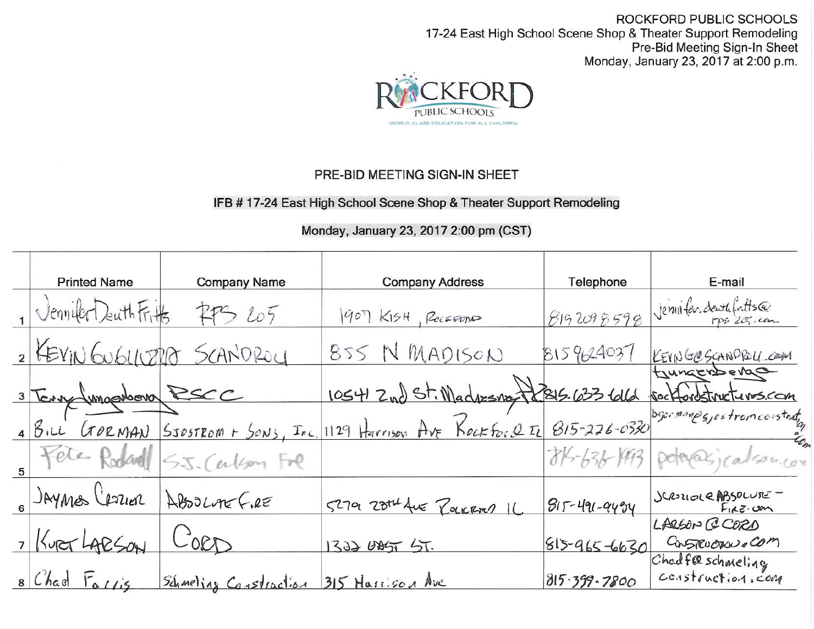ROCKFORD PUBLIC SCHOOLS 17-24 East High School Scene Shop & Theater Support Remodeling Pre-Bid Meeting Sign-In Sheet Monday, January 23, 2017 at 2:00 p.m.



## PRE-BID MEETING SIGN-IN SHEET

### IFB # 17-24 East High School Scene Shop & Theater Support Remodeling

## Monday, January 23, 2017 2:00 pm (CST)

| <b>Printed Name</b>           | <b>Company Name</b>            | <b>Company Address</b>                                                         | Telephone          | E-mail                                             |
|-------------------------------|--------------------------------|--------------------------------------------------------------------------------|--------------------|----------------------------------------------------|
| JenniferDenthFrits 775 205    |                                | 1907 KISH, ROCKEDDO                                                            | 8152098598         | jennifer.deuthfritts@                              |
|                               | 2 KEYIN GUGLIUZRO SCANDROY     | 855 N MADISON                                                                  | 8159624037         | KEYNGOSCANDROU COM                                 |
| 3 Tony (unapology RSCC        |                                | 10541 Zud St. Madresny 12815-633 6016                                          |                    | toungerberge<br>sockfordstructures.com             |
|                               |                                | 1 BILL GORNAN SSOSTROM + SONS, Inc. 1129 Harrison Ave Rockfore IL 815-226-0330 |                    | bgermanps, ostromconstrute                         |
|                               | 5 Fele Rodard S.J. Carlson Fre |                                                                                |                    | 814-636-1993 poteracjcalson.com                    |
| 6 JAYMES CROZIER ABSOLVE F.RE |                                | 5279 28th Ave ROCKERD IL                                                       | $815 - 491 - 9494$ | SCROUGHE ABSOLUTE<br>$F_{1}g_{2}\ldots g_{n}$      |
| , Kurer LAPSON                | $C_{00D}$                      | 1322 025 5T.                                                                   |                    | LARSON CCORD<br>$815 - 965 - 6630$ Casterons - COM |
| 8 Chad Fallis                 | <u>Schmeling Construction</u>  | 315 Hassison Ave                                                               | $815.399 - 7800$   | Chadfelschmeling                                   |